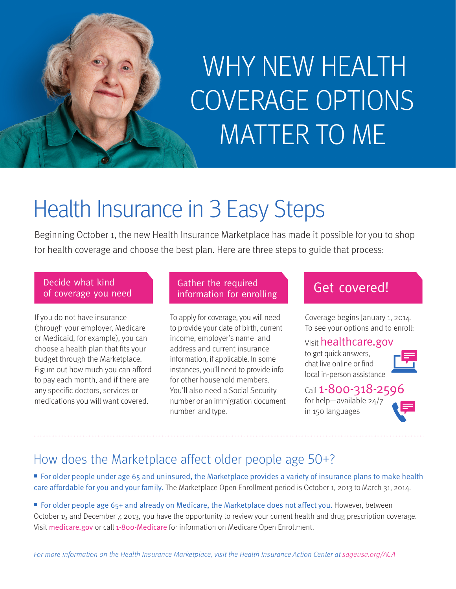# WHY NEW HEALTH COVERAGE OPTIONS MATTER TO ME

### Health Insurance in 3 Easy Steps

Beginning October 1, the new Health Insurance Marketplace has made it possible for you to shop for health coverage and choose the best plan. Here are three steps to guide that process:

#### Decide what kind of coverage you need

If you do not have insurance (through your employer, Medicare or Medicaid, for example), you can choose a health plan that fits your budget through the Marketplace. Figure out how much you can afford to pay each month, and if there are any specific doctors, services or medications you will want covered.

#### Gather the required Gather the required<br>information for enrolling Get COVered!

To apply for coverage, you will need to provide your date of birth, current income, employer's name and address and current insurance information, if applicable. In some instances, you'll need to provide info for other household members. You'll also need a Social Security number or an immigration document number and type.

Coverage begins January 1, 2014. To see your options and to enroll:

#### Visit healthcare.gov

to get quick answers, chat live online or find local in-person assistance

#### Call 1-800-318-2596

for help—available 24/7 in 150 languages



### How does the Marketplace affect older people age 50+?

■ For older people under age 65 and uninsured, the Marketplace provides a variety of insurance plans to make health care affordable for you and your family. The Marketplace Open Enrollment period is October 1, 2013 to March 31, 2014.

■ For older people age 65+ and already on Medicare, the Marketplace does not affect you. However, between October 15 and December 7, 2013, you have the opportunity to review your current health and drug prescription coverage. Visit medicare.gov or call 1-800-Medicare for information on Medicare Open Enrollment.